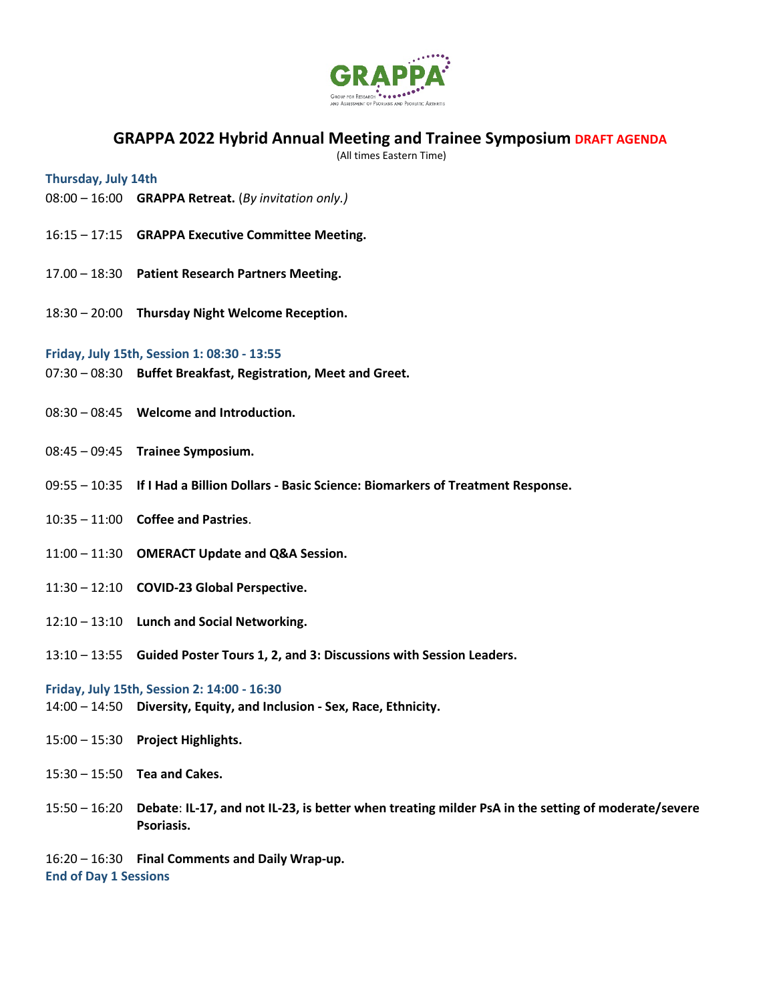

# **GRAPPA 2022 Hybrid Annual Meeting and Trainee Symposium DRAFT AGENDA**

(All times Eastern Time)

#### **Thursday, July 14th**

- 08:00 16:00 **GRAPPA Retreat.** (*By invitation only.)*
- 16:15 17:15 **GRAPPA Executive Committee Meeting.**
- 17.00 18:30 **Patient Research Partners Meeting.**
- 18:30 20:00 **Thursday Night Welcome Reception.**

## **Friday, July 15th, Session 1: 08:30 - 13:55**

- 07:30 08:30 **Buffet Breakfast, Registration, Meet and Greet.**
- 08:30 08:45 **Welcome and Introduction.**
- 08:45 09:45 **Trainee Symposium.**
- 09:55 10:35 **If I Had a Billion Dollars - Basic Science: Biomarkers of Treatment Response.**
- 10:35 11:00 **Coffee and Pastries**.
- 11:00 11:30 **OMERACT Update and Q&A Session.**
- 11:30 12:10 **COVID-23 Global Perspective.**
- 12:10 13:10 **Lunch and Social Networking.**
- 13:10 13:55 **Guided Poster Tours 1, 2, and 3: Discussions with Session Leaders.**

## **Friday, July 15th, Session 2: 14:00 - 16:30**

- 14:00 14:50 **Diversity, Equity, and Inclusion - Sex, Race, Ethnicity.**
- 15:00 15:30 **Project Highlights.**
- 15:30 15:50 **Tea and Cakes.**
- 15:50 16:20 **Debate**: **IL-17, and not IL-23, is better when treating milder PsA in the setting of moderate/severe Psoriasis.**
- 16:20 16:30 **Final Comments and Daily Wrap-up. End of Day 1 Sessions**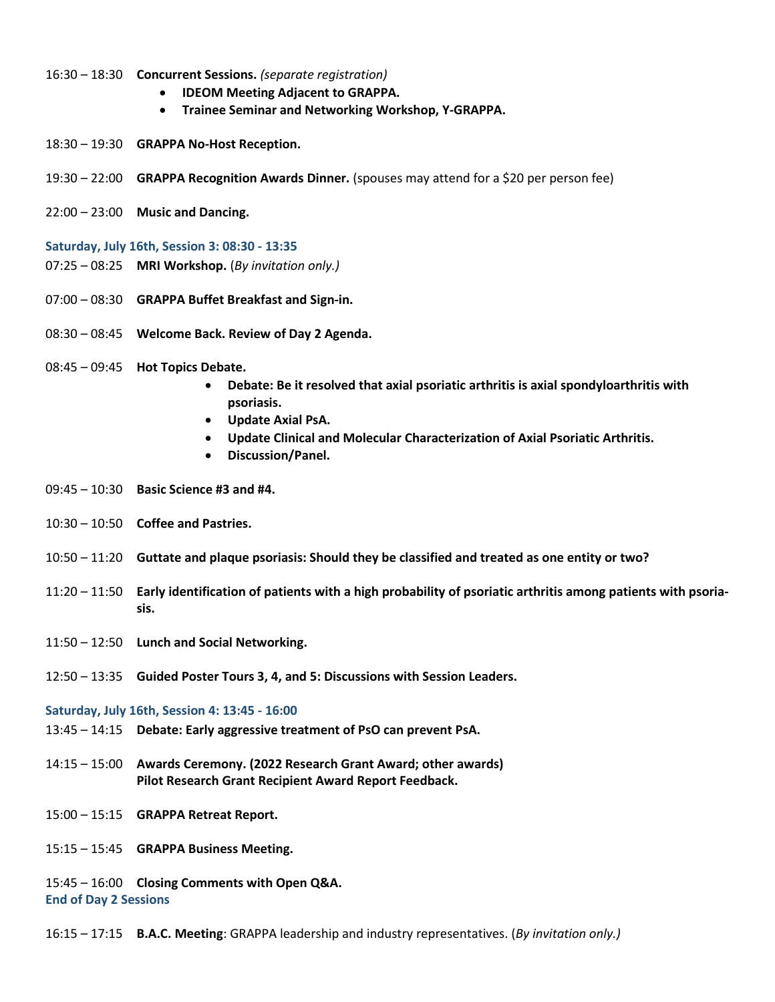- 16:30 18:30 **Concurrent Sessions.** *(separate registration)*
	- **IDEOM Meeting Adjacent to GRAPPA.**
	- **Trainee Seminar and Networking Workshop, Y-GRAPPA.**
- 18:30 19:30 **GRAPPA No-Host Reception.**
- 19:30 22:00 **GRAPPA Recognition Awards Dinner.** (spouses may attend for a \$20 per person fee)
- 22:00 23:00 **Music and Dancing.**
- **Saturday, July 16th, Session 3: 08:30 - 13:35**
- 07:25 08:25 **MRI Workshop.** (*By invitation only.)*
- 07:00 08:30 **GRAPPA Buffet Breakfast and Sign-in.**
- 08:30 08:45 **Welcome Back. Review of Day 2 Agenda.**
- 08:45 09:45 **Hot Topics Debate.**
	- **Debate: Be it resolved that axial psoriatic arthritis is axial spondyloarthritis with psoriasis.**
	- **Update Axial PsA.**
	- **Update Clinical and Molecular Characterization of Axial Psoriatic Arthritis.**
	- **Discussion/Panel.**
- 09:45 10:30 **Basic Science #3 and #4.**
- 10:30 10:50 **Coffee and Pastries.**
- 10:50 11:20 **Guttate and plaque psoriasis: Should they be classified and treated as one entity or two?**
- 11:20 11:50 **Early identification of patients with a high probability of psoriatic arthritis among patients with psoriasis.**
- 11:50 12:50 **Lunch and Social Networking.**
- 12:50 13:35 **Guided Poster Tours 3, 4, and 5: Discussions with Session Leaders.**

**Saturday, July 16th, Session 4: 13:45 - 16:00**

- 13:45 14:15 **Debate: Early aggressive treatment of PsO can prevent PsA.**
- 14:15 15:00 **Awards Ceremony. (2022 Research Grant Award; other awards) Pilot Research Grant Recipient Award Report Feedback.**
- 15:00 15:15 **GRAPPA Retreat Report.**
- 15:15 15:45 **GRAPPA Business Meeting.**

15:45 – 16:00 **Closing Comments with Open Q&A. End of Day 2 Sessions**

16:15 – 17:15 **B.A.C. Meeting**: GRAPPA leadership and industry representatives. (*By invitation only.)*